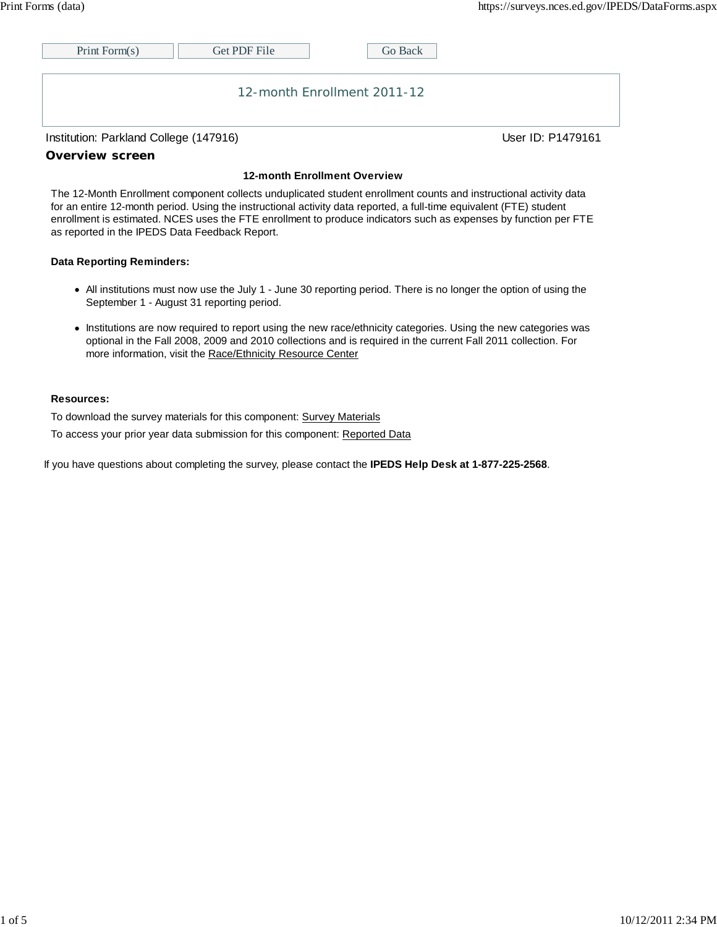| Print Form $(s)$            | Get PDF File | Go Back |  |  |
|-----------------------------|--------------|---------|--|--|
|                             |              |         |  |  |
| 12-month Enrollment 2011-12 |              |         |  |  |

Institution: Parkland College (147916) Contract College (147916)

### **Overview screen**

#### **12-month Enrollment Overview**

The 12-Month Enrollment component collects unduplicated student enrollment counts and instructional activity data for an entire 12-month period. Using the instructional activity data reported, a full-time equivalent (FTE) student enrollment is estimated. NCES uses the FTE enrollment to produce indicators such as expenses by function per FTE as reported in the IPEDS Data Feedback Report.

### **Data Reporting Reminders:**

- All institutions must now use the July 1 June 30 reporting period. There is no longer the option of using the September 1 - August 31 reporting period.
- Institutions are now required to report using the new race/ethnicity categories. Using the new categories was optional in the Fall 2008, 2009 and 2010 collections and is required in the current Fall 2011 collection. For more information, visit the Race/Ethnicity Resource Center

### **Resources:**

To download the survey materials for this component: Survey Materials

To access your prior year data submission for this component: Reported Data

If you have questions about completing the survey, please contact the **IPEDS Help Desk at 1-877-225-2568**.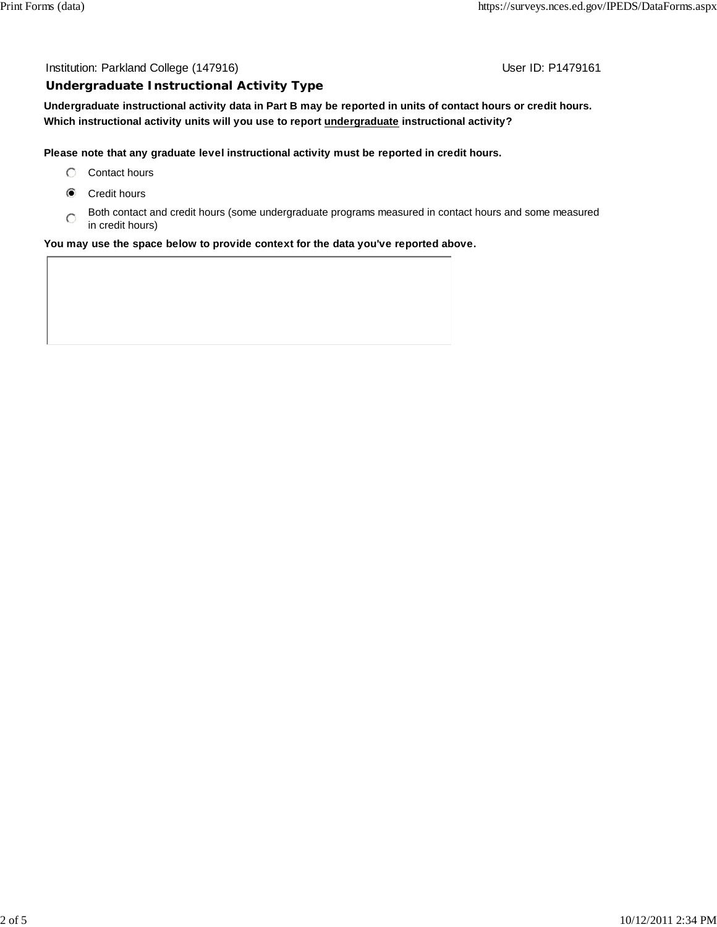### Institution: Parkland College (147916) **Institution: Parkland College (147916**)

### **Undergraduate Instructional Activity Type**

**Undergraduate instructional activity data in Part B may be reported in units of contact hours or credit hours. Which instructional activity units will you use to report undergraduate instructional activity?**

### **Please note that any graduate level instructional activity must be reported in credit hours.**

- C Contact hours
- Credit hours
- Both contact and credit hours (some undergraduate programs measured in contact hours and some measured in credit hours)

### **You may use the space below to provide context for the data you've reported above.**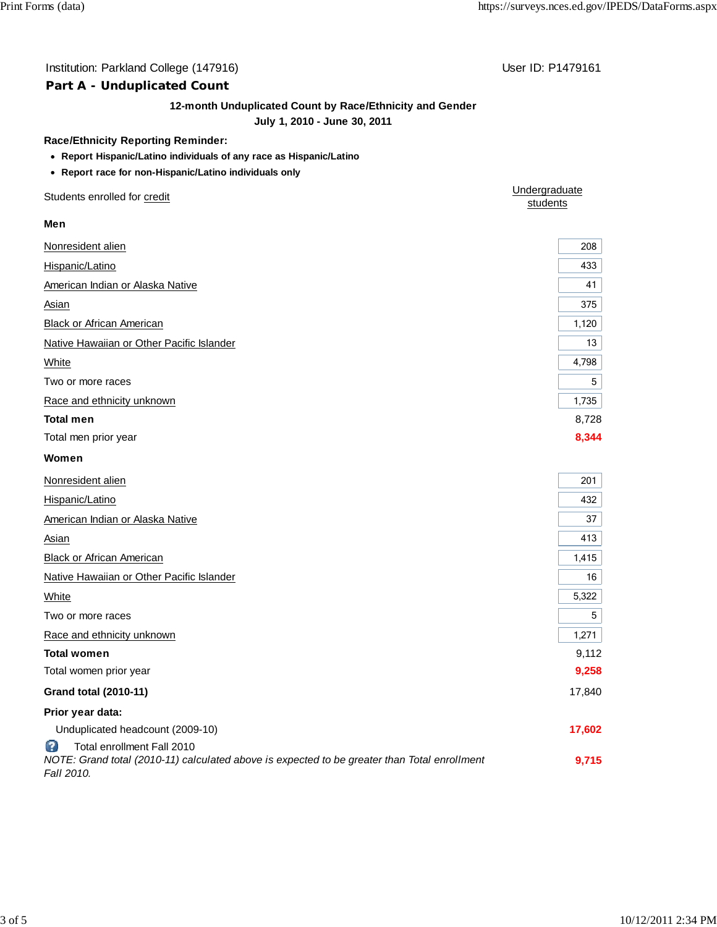# Institution: Parkland College (147916) **Institution: Parkland College (147916**)

# **Part A - Unduplicated Count**

## **12-month Unduplicated Count by Race/Ethnicity and Gender**

# **July 1, 2010 - June 30, 2011**

### **Race/Ethnicity Reporting Reminder:**

- **Report Hispanic/Latino individuals of any race as Hispanic/Latino**
- **Report race for non-Hispanic/Latino individuals only**

| Students enrolled for credit                                                                                                                  | Undergraduate<br>students |
|-----------------------------------------------------------------------------------------------------------------------------------------------|---------------------------|
| Men                                                                                                                                           |                           |
| Nonresident alien                                                                                                                             | 208                       |
| Hispanic/Latino                                                                                                                               | 433                       |
| American Indian or Alaska Native                                                                                                              | 41                        |
| Asian                                                                                                                                         | 375                       |
| <b>Black or African American</b>                                                                                                              | 1,120                     |
| Native Hawaiian or Other Pacific Islander                                                                                                     | 13                        |
| White                                                                                                                                         | 4,798                     |
| Two or more races                                                                                                                             | 5                         |
| Race and ethnicity unknown                                                                                                                    | 1,735                     |
| <b>Total men</b>                                                                                                                              | 8,728                     |
| Total men prior year                                                                                                                          | 8,344                     |
| Women                                                                                                                                         |                           |
| Nonresident alien                                                                                                                             | 201                       |
| Hispanic/Latino                                                                                                                               | 432                       |
| American Indian or Alaska Native                                                                                                              | 37                        |
| Asian                                                                                                                                         | 413                       |
| <b>Black or African American</b>                                                                                                              | 1,415                     |
| Native Hawaiian or Other Pacific Islander                                                                                                     | 16                        |
| White                                                                                                                                         | 5,322                     |
| Two or more races                                                                                                                             | 5                         |
| Race and ethnicity unknown                                                                                                                    | 1,271                     |
| <b>Total women</b>                                                                                                                            | 9,112                     |
| Total women prior year                                                                                                                        | 9,258                     |
| <b>Grand total (2010-11)</b>                                                                                                                  | 17,840                    |
| Prior year data:                                                                                                                              |                           |
| Unduplicated headcount (2009-10)                                                                                                              | 17,602                    |
| B<br>Total enrollment Fall 2010<br>NOTE: Grand total (2010-11) calculated above is expected to be greater than Total enrollment<br>Fall 2010. | 9,715                     |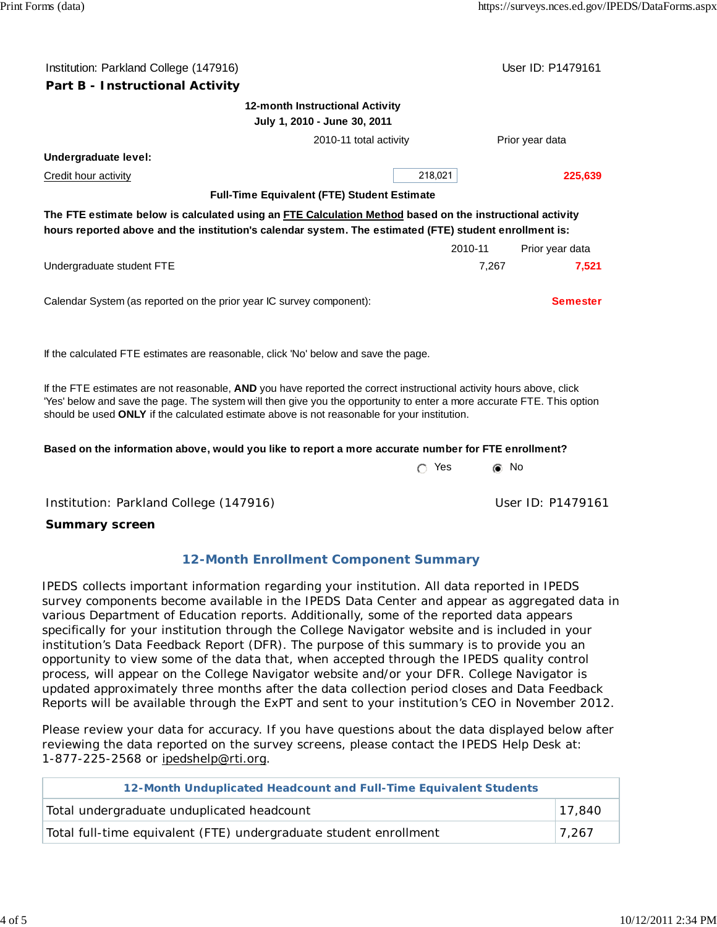| Institution: Parkland College (147916)                                                                                                                                                                             |         | User ID: P1479161 |  |  |
|--------------------------------------------------------------------------------------------------------------------------------------------------------------------------------------------------------------------|---------|-------------------|--|--|
| Part B - Instructional Activity                                                                                                                                                                                    |         |                   |  |  |
| 12-month Instructional Activity<br>July 1, 2010 - June 30, 2011                                                                                                                                                    |         |                   |  |  |
| 2010-11 total activity                                                                                                                                                                                             |         | Prior year data   |  |  |
| Undergraduate level:                                                                                                                                                                                               |         |                   |  |  |
| <b>Credit hour activity</b>                                                                                                                                                                                        | 218,021 | 225,639           |  |  |
| <b>Full-Time Equivalent (FTE) Student Estimate</b>                                                                                                                                                                 |         |                   |  |  |
| The FTE estimate below is calculated using an FTE Calculation Method based on the instructional activity<br>hours reported above and the institution's calendar system. The estimated (FTE) student enrollment is: |         |                   |  |  |
|                                                                                                                                                                                                                    | 2010-11 | Prior year data   |  |  |
| Undergraduate student FTE                                                                                                                                                                                          | 7,267   | 7.521             |  |  |
| Calendar System (as reported on the prior year IC survey component):                                                                                                                                               |         | <b>Semester</b>   |  |  |
| If the calculated FTE estimates are reasonable, click 'No' below and save the page.                                                                                                                                |         |                   |  |  |

If the FTE estimates are not reasonable, **AND** you have reported the correct instructional activity hours above, click 'Yes' below and save the page. The system will then give you the opportunity to enter a more accurate FTE. This option should be used **ONLY** if the calculated estimate above is not reasonable for your institution.

# **Based on the information above, would you like to report a more accurate number for FTE enrollment?**

| $\circ$ Yes | <b>⊚</b> No |
|-------------|-------------|
|             |             |
|             |             |

Institution: Parkland College (147916) Contract College (147916)

**Summary screen**

# **12-Month Enrollment Component Summary**

IPEDS collects important information regarding your institution. All data reported in IPEDS survey components become available in the IPEDS Data Center and appear as aggregated data in various Department of Education reports. Additionally, some of the reported data appears specifically for your institution through the College Navigator website and is included in your institution's Data Feedback Report (DFR). The purpose of this summary is to provide you an opportunity to view some of the data that, when accepted through the IPEDS quality control process, will appear on the College Navigator website and/or your DFR. College Navigator is updated approximately three months after the data collection period closes and Data Feedback Reports will be available through the ExPT and sent to your institution's CEO in November 2012.

Please review your data for accuracy. If you have questions about the data displayed below after reviewing the data reported on the survey screens, please contact the IPEDS Help Desk at: 1-877-225-2568 or ipedshelp@rti.org.

| 12-Month Unduplicated Headcount and Full-Time Equivalent Students |       |  |
|-------------------------------------------------------------------|-------|--|
| Total undergraduate unduplicated headcount<br>17,840              |       |  |
| Total full-time equivalent (FTE) undergraduate student enrollment | 7,267 |  |